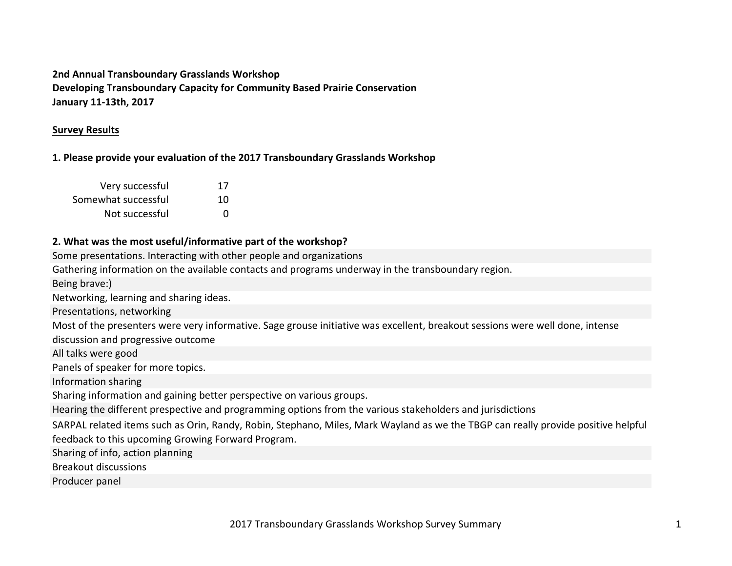# **2nd Annual Transboundary Grasslands Workshop Developing Transboundary Capacity for Community Based Prairie Conservation January 11-13th, 2017**

## **Survey Results**

## **1. Please provide your evaluation of the 2017 Transboundary Grasslands Workshop**

| Very successful     | 17 |
|---------------------|----|
| Somewhat successful | 10 |
| Not successful      | n  |

## **2.** What was the most useful/informative part of the workshop?

Some presentations. Interacting with other people and organizations

Gathering information on the available contacts and programs underway in the transboundary region.

Being brave:)

Networking, learning and sharing ideas.

Presentations, networking

Most of the presenters were very informative. Sage grouse initiative was excellent, breakout sessions were well done, intense

discussion and progressive outcome

All talks were good

Panels of speaker for more topics.

Information sharing

Sharing information and gaining better perspective on various groups.

Hearing the different prespective and programming options from the various stakeholders and jurisdictions

SARPAL related items such as Orin, Randy, Robin, Stephano, Miles, Mark Wayland as we the TBGP can really provide positive helpful feedback to this upcoming Growing Forward Program.

Sharing of info, action planning

Breakout discussions

Producer panel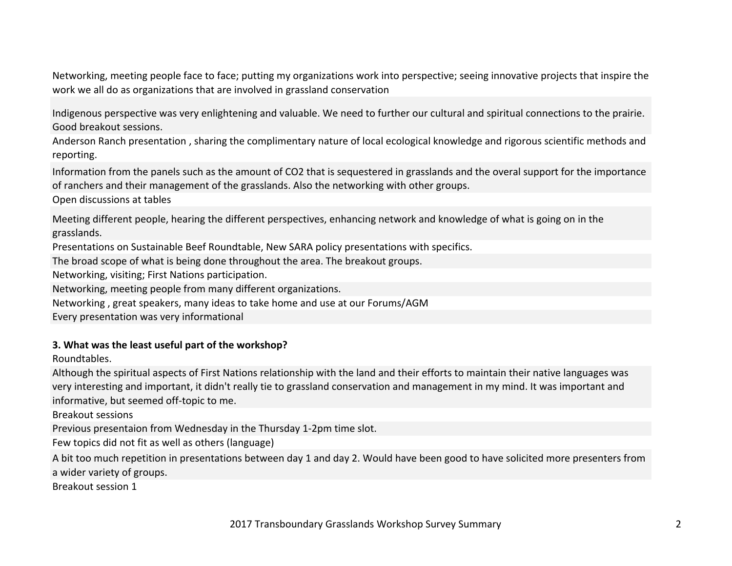Networking, meeting people face to face; putting my organizations work into perspective; seeing innovative projects that inspire the work we all do as organizations that are involved in grassland conservation

Indigenous perspective was very enlightening and valuable. We need to further our cultural and spiritual connections to the prairie. Good breakout sessions.

Anderson Ranch presentation, sharing the complimentary nature of local ecological knowledge and rigorous scientific methods and reporting.

Information from the panels such as the amount of CO2 that is sequestered in grasslands and the overal support for the importance of ranchers and their management of the grasslands. Also the networking with other groups.

Open discussions at tables

Meeting different people, hearing the different perspectives, enhancing network and knowledge of what is going on in the grasslands.

Presentations on Sustainable Beef Roundtable, New SARA policy presentations with specifics.

The broad scope of what is being done throughout the area. The breakout groups.

Networking, visiting; First Nations participation.

Networking, meeting people from many different organizations.

Networking, great speakers, many ideas to take home and use at our Forums/AGM

Every presentation was very informational

#### **3. What was the least useful part of the workshop?**

Roundtables.

Although the spiritual aspects of First Nations relationship with the land and their efforts to maintain their native languages was very interesting and important, it didn't really tie to grassland conservation and management in my mind. It was important and informative, but seemed off-topic to me.

Breakout sessions

Previous presentaion from Wednesday in the Thursday 1-2pm time slot.

Few topics did not fit as well as others (language)

A bit too much repetition in presentations between day 1 and day 2. Would have been good to have solicited more presenters from a wider variety of groups.

Breakout session 1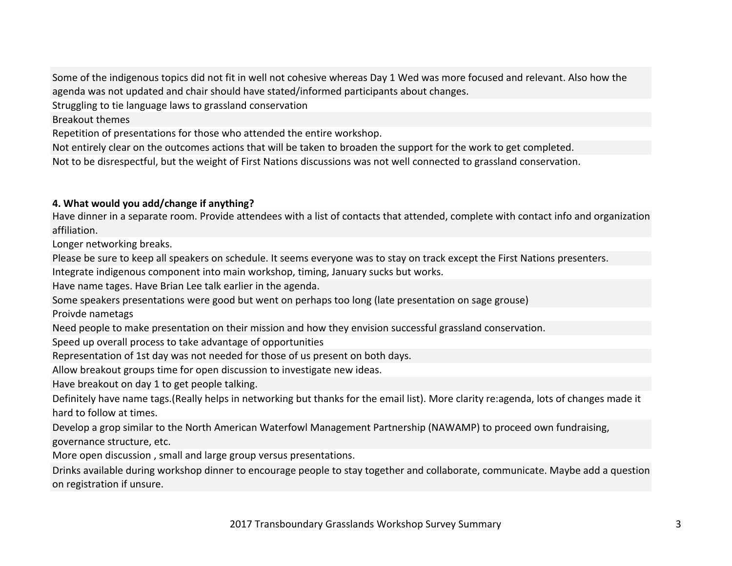Some of the indigenous topics did not fit in well not cohesive whereas Day 1 Wed was more focused and relevant. Also how the agenda was not updated and chair should have stated/informed participants about changes.

Struggling to tie language laws to grassland conservation

Breakout themes

Repetition of presentations for those who attended the entire workshop.

Not entirely clear on the outcomes actions that will be taken to broaden the support for the work to get completed.

Not to be disrespectful, but the weight of First Nations discussions was not well connected to grassland conservation.

## 4. What would you add/change if anything?

Have dinner in a separate room. Provide attendees with a list of contacts that attended, complete with contact info and organization affiliation.

Longer networking breaks.

Please be sure to keep all speakers on schedule. It seems everyone was to stay on track except the First Nations presenters.

Integrate indigenous component into main workshop, timing, January sucks but works.

Have name tages. Have Brian Lee talk earlier in the agenda.

Some speakers presentations were good but went on perhaps too long (late presentation on sage grouse)

Proivde nametags

Need people to make presentation on their mission and how they envision successful grassland conservation.

Speed up overall process to take advantage of opportunities

Representation of 1st day was not needed for those of us present on both days.

Allow breakout groups time for open discussion to investigate new ideas.

Have breakout on day 1 to get people talking.

Definitely have name tags.(Really helps in networking but thanks for the email list). More clarity re:agenda, lots of changes made it hard to follow at times.

Develop a grop similar to the North American Waterfowl Management Partnership (NAWAMP) to proceed own fundraising, governance structure, etc.

More open discussion, small and large group versus presentations.

Drinks available during workshop dinner to encourage people to stay together and collaborate, communicate. Maybe add a question on registration if unsure.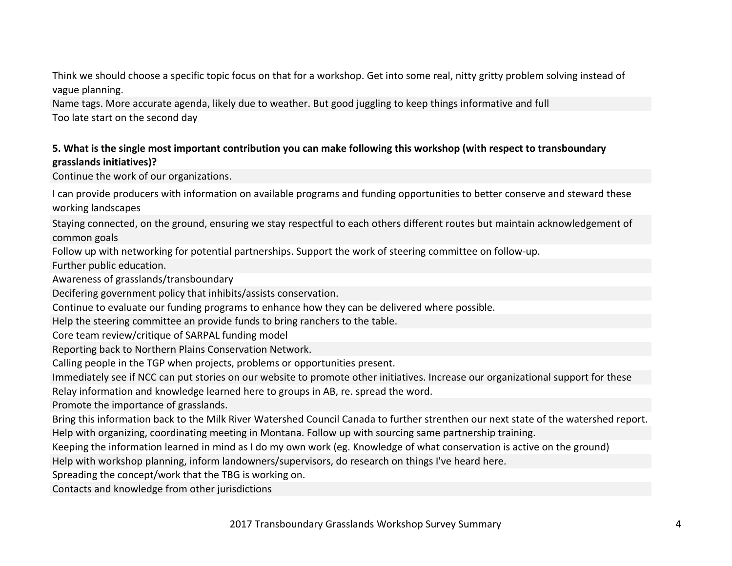Think we should choose a specific topic focus on that for a workshop. Get into some real, nitty gritty problem solving instead of vague planning.

Name tags. More accurate agenda, likely due to weather. But good juggling to keep things informative and full Too late start on the second day

# **5.** What is the single most important contribution you can make following this workshop (with respect to transboundary **grasslands initiatives)?**

Continue the work of our organizations.

I can provide producers with information on available programs and funding opportunities to better conserve and steward these working landscapes

Staying connected, on the ground, ensuring we stay respectful to each others different routes but maintain acknowledgement of common goals

Follow up with networking for potential partnerships. Support the work of steering committee on follow-up.

Further public education.

Awareness of grasslands/transboundary

Decifering government policy that inhibits/assists conservation.

Continue to evaluate our funding programs to enhance how they can be delivered where possible.

Help the steering committee an provide funds to bring ranchers to the table.

Core team review/critique of SARPAL funding model

Reporting back to Northern Plains Conservation Network.

Calling people in the TGP when projects, problems or opportunities present.

Immediately see if NCC can put stories on our website to promote other initiatives. Increase our organizational support for these

Relay information and knowledge learned here to groups in AB, re. spread the word.

Promote the importance of grasslands.

Bring this information back to the Milk River Watershed Council Canada to further strenthen our next state of the watershed report. Help with organizing, coordinating meeting in Montana. Follow up with sourcing same partnership training.

Keeping the information learned in mind as I do my own work (eg. Knowledge of what conservation is active on the ground)

Help with workshop planning, inform landowners/supervisors, do research on things I've heard here.

Spreading the concept/work that the TBG is working on.

Contacts and knowledge from other jurisdictions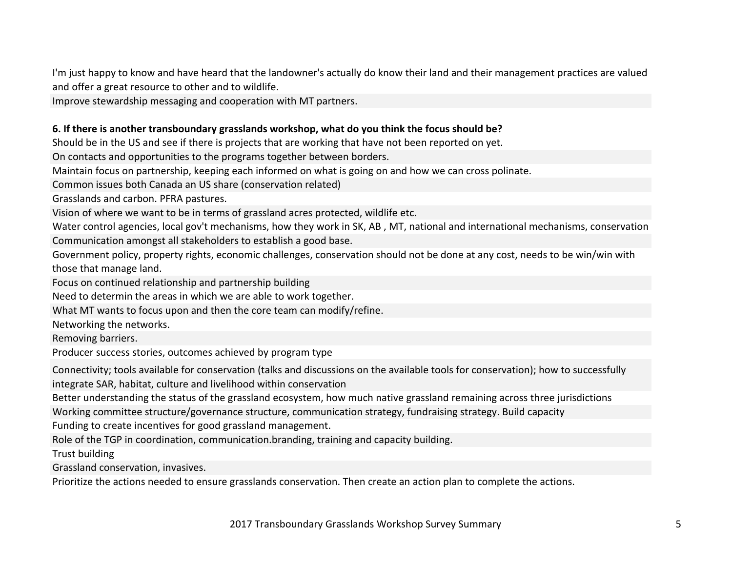I'm just happy to know and have heard that the landowner's actually do know their land and their management practices are valued and offer a great resource to other and to wildlife.

Improve stewardship messaging and cooperation with MT partners.

## 6. If there is another transboundary grasslands workshop, what do you think the focus should be?

Should be in the US and see if there is projects that are working that have not been reported on yet.

On contacts and opportunities to the programs together between borders.

Maintain focus on partnership, keeping each informed on what is going on and how we can cross polinate.

Common issues both Canada an US share (conservation related)

Grasslands and carbon. PFRA pastures.

Vision of where we want to be in terms of grassland acres protected, wildlife etc.

Water control agencies, local gov't mechanisms, how they work in SK, AB, MT, national and international mechanisms, conservation Communication amongst all stakeholders to establish a good base.

Government policy, property rights, economic challenges, conservation should not be done at any cost, needs to be win/win with those that manage land.

Focus on continued relationship and partnership building

Need to determin the areas in which we are able to work together.

What MT wants to focus upon and then the core team can modify/refine.

Networking the networks.

Removing barriers.

Producer success stories, outcomes achieved by program type

Connectivity; tools available for conservation (talks and discussions on the available tools for conservation); how to successfully integrate SAR, habitat, culture and livelihood within conservation

Better understanding the status of the grassland ecosystem, how much native grassland remaining across three jurisdictions

Working committee structure/governance structure, communication strategy, fundraising strategy. Build capacity

Funding to create incentives for good grassland management.

Role of the TGP in coordination, communication.branding, training and capacity building.

Trust building

Grassland conservation, invasives.

Prioritize the actions needed to ensure grasslands conservation. Then create an action plan to complete the actions.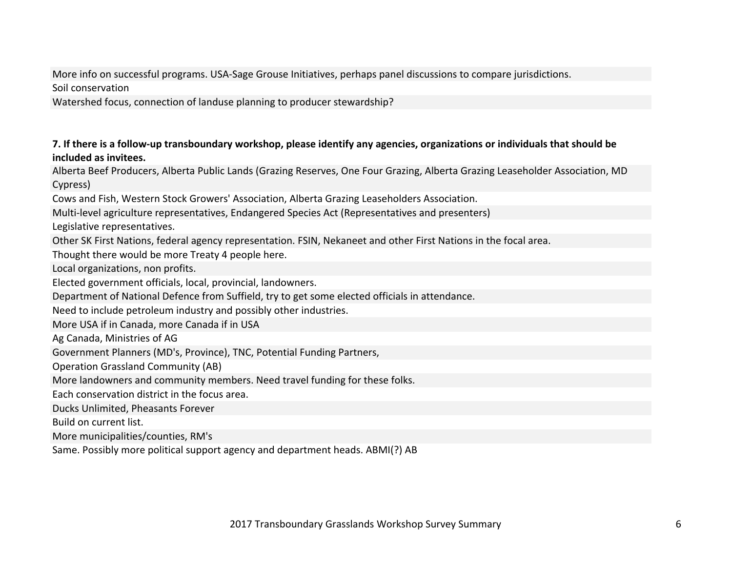More info on successful programs. USA-Sage Grouse Initiatives, perhaps panel discussions to compare jurisdictions. Soil conservation

Watershed focus, connection of landuse planning to producer stewardship?

## **7.** If there is a follow-up transboundary workshop, please identify any agencies, organizations or individuals that should be **included as invitees.**

Alberta Beef Producers, Alberta Public Lands (Grazing Reserves, One Four Grazing, Alberta Grazing Leaseholder Association, MD Cypress)

Cows and Fish, Western Stock Growers' Association, Alberta Grazing Leaseholders Association.

Multi-level agriculture representatives, Endangered Species Act (Representatives and presenters)

Legislative representatives.

Other SK First Nations, federal agency representation. FSIN, Nekaneet and other First Nations in the focal area.

Thought there would be more Treaty 4 people here.

Local organizations, non profits.

Elected government officials, local, provincial, landowners.

Department of National Defence from Suffield, try to get some elected officials in attendance.

Need to include petroleum industry and possibly other industries.

More USA if in Canada, more Canada if in USA

Ag Canada, Ministries of AG

Government Planners (MD's, Province), TNC, Potential Funding Partners,

Operation Grassland Community (AB)

More landowners and community members. Need travel funding for these folks.

Each conservation district in the focus area.

Ducks Unlimited, Pheasants Forever

Build on current list.

More municipalities/counties, RM's

Same. Possibly more political support agency and department heads. ABMI(?) AB